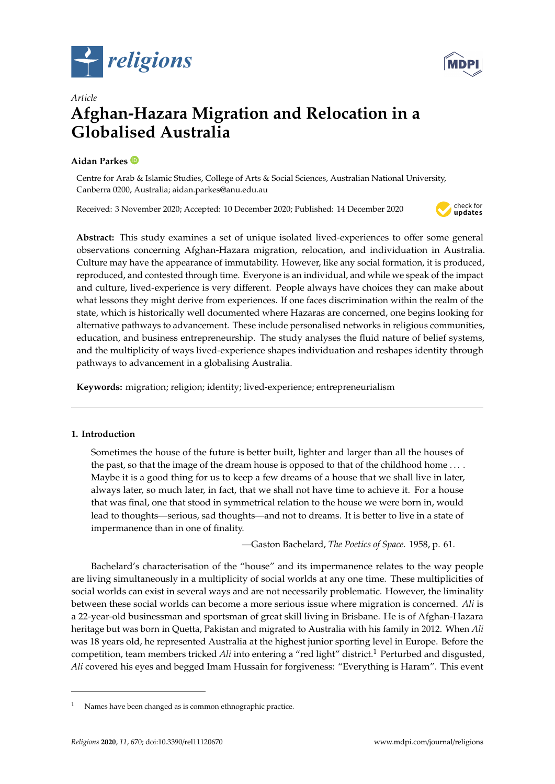



# *Article* **Afghan-Hazara Migration and Relocation in a Globalised Australia**

# **Aidan Parkes**

Centre for Arab & Islamic Studies, College of Arts & Social Sciences, Australian National University, Canberra 0200, Australia; aidan.parkes@anu.edu.au

Received: 3 November 2020; Accepted: 10 December 2020; Published: 14 December 2020



**Abstract:** This study examines a set of unique isolated lived-experiences to offer some general observations concerning Afghan-Hazara migration, relocation, and individuation in Australia. Culture may have the appearance of immutability. However, like any social formation, it is produced, reproduced, and contested through time. Everyone is an individual, and while we speak of the impact and culture, lived-experience is very different. People always have choices they can make about what lessons they might derive from experiences. If one faces discrimination within the realm of the state, which is historically well documented where Hazaras are concerned, one begins looking for alternative pathways to advancement. These include personalised networks in religious communities, education, and business entrepreneurship. The study analyses the fluid nature of belief systems, and the multiplicity of ways lived-experience shapes individuation and reshapes identity through pathways to advancement in a globalising Australia.

**Keywords:** migration; religion; identity; lived-experience; entrepreneurialism

# **1. Introduction**

Sometimes the house of the future is better built, lighter and larger than all the houses of the past, so that the image of the dream house is opposed to that of the childhood home .... Maybe it is a good thing for us to keep a few dreams of a house that we shall live in later, always later, so much later, in fact, that we shall not have time to achieve it. For a house that was final, one that stood in symmetrical relation to the house we were born in, would lead to thoughts—serious, sad thoughts—and not to dreams. It is better to live in a state of impermanence than in one of finality.

—Gaston Bachelard, *The Poetics of Space.* 1958, p. 61.

Bachelard's characterisation of the "house" and its impermanence relates to the way people are living simultaneously in a multiplicity of social worlds at any one time. These multiplicities of social worlds can exist in several ways and are not necessarily problematic. However, the liminality between these social worlds can become a more serious issue where migration is concerned. *Ali* is a 22-year-old businessman and sportsman of great skill living in Brisbane. He is of Afghan-Hazara heritage but was born in Quetta, Pakistan and migrated to Australia with his family in 2012. When *Ali* was 18 years old, he represented Australia at the highest junior sporting level in Europe. Before the competition, team members tricked *Ali* into entering a "red light" district.<sup>1</sup> Perturbed and disgusted, *Ali* covered his eyes and begged Imam Hussain for forgiveness: "Everything is Haram". This event

Names have been changed as is common ethnographic practice.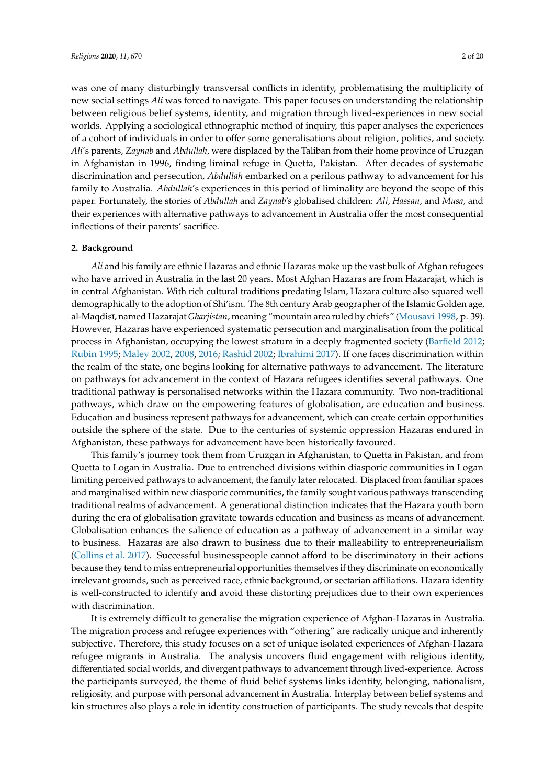was one of many disturbingly transversal conflicts in identity, problematising the multiplicity of new social settings *Ali* was forced to navigate. This paper focuses on understanding the relationship between religious belief systems, identity, and migration through lived-experiences in new social worlds. Applying a sociological ethnographic method of inquiry, this paper analyses the experiences of a cohort of individuals in order to offer some generalisations about religion, politics, and society. *Ali'*s parents, *Zaynab* and *Abdullah*, were displaced by the Taliban from their home province of Uruzgan in Afghanistan in 1996, finding liminal refuge in Quetta, Pakistan. After decades of systematic discrimination and persecution, *Abdullah* embarked on a perilous pathway to advancement for his family to Australia. *Abdullah*'s experiences in this period of liminality are beyond the scope of this paper. Fortunately, the stories of *Abdullah* and *Zaynab's* globalised children: *Ali*, *Hassan*, and *Musa,* and their experiences with alternative pathways to advancement in Australia offer the most consequential inflections of their parents' sacrifice.

## **2. Background**

*Ali* and his family are ethnic Hazaras and ethnic Hazaras make up the vast bulk of Afghan refugees who have arrived in Australia in the last 20 years. Most Afghan Hazaras are from Hazarajat, which is in central Afghanistan. With rich cultural traditions predating Islam, Hazara culture also squared well demographically to the adoption of Shi'ism. The 8th century Arab geographer of the Islamic Golden age, al-Maqdisī, named Hazarajat *Gharjistan*, meaning "mountain area ruled by chiefs" [\(Mousavi](#page-18-0) [1998,](#page-18-0) p. 39). However, Hazaras have experienced systematic persecution and marginalisation from the political process in Afghanistan, occupying the lowest stratum in a deeply fragmented society [\(Barfield](#page-17-0) [2012;](#page-17-0) [Rubin](#page-18-1) [1995;](#page-18-1) [Maley](#page-18-2) [2002,](#page-18-2) [2008,](#page-18-3) [2016;](#page-18-4) [Rashid](#page-18-5) [2002;](#page-18-5) [Ibrahimi](#page-18-6) [2017\)](#page-18-6). If one faces discrimination within the realm of the state, one begins looking for alternative pathways to advancement. The literature on pathways for advancement in the context of Hazara refugees identifies several pathways. One traditional pathway is personalised networks within the Hazara community. Two non-traditional pathways, which draw on the empowering features of globalisation, are education and business. Education and business represent pathways for advancement, which can create certain opportunities outside the sphere of the state. Due to the centuries of systemic oppression Hazaras endured in Afghanistan, these pathways for advancement have been historically favoured.

This family's journey took them from Uruzgan in Afghanistan, to Quetta in Pakistan, and from Quetta to Logan in Australia. Due to entrenched divisions within diasporic communities in Logan limiting perceived pathways to advancement, the family later relocated. Displaced from familiar spaces and marginalised within new diasporic communities, the family sought various pathways transcending traditional realms of advancement. A generational distinction indicates that the Hazara youth born during the era of globalisation gravitate towards education and business as means of advancement. Globalisation enhances the salience of education as a pathway of advancement in a similar way to business. Hazaras are also drawn to business due to their malleability to entrepreneurialism [\(Collins et al.](#page-17-1) [2017\)](#page-17-1). Successful businesspeople cannot afford to be discriminatory in their actions because they tend to miss entrepreneurial opportunities themselves if they discriminate on economically irrelevant grounds, such as perceived race, ethnic background, or sectarian affiliations. Hazara identity is well-constructed to identify and avoid these distorting prejudices due to their own experiences with discrimination.

It is extremely difficult to generalise the migration experience of Afghan-Hazaras in Australia. The migration process and refugee experiences with "othering" are radically unique and inherently subjective. Therefore, this study focuses on a set of unique isolated experiences of Afghan-Hazara refugee migrants in Australia. The analysis uncovers fluid engagement with religious identity, differentiated social worlds, and divergent pathways to advancement through lived-experience. Across the participants surveyed, the theme of fluid belief systems links identity, belonging, nationalism, religiosity, and purpose with personal advancement in Australia. Interplay between belief systems and kin structures also plays a role in identity construction of participants. The study reveals that despite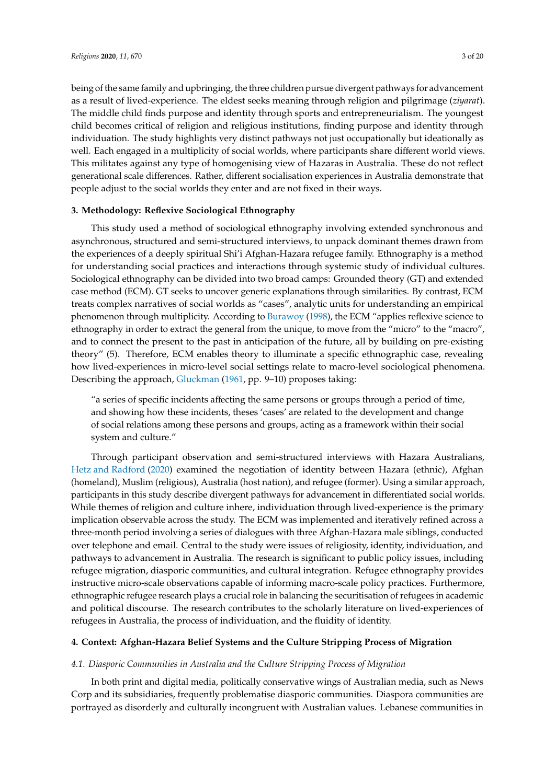being of the same family and upbringing, the three children pursue divergent pathways for advancement as a result of lived-experience. The eldest seeks meaning through religion and pilgrimage (*ziyarat*). The middle child finds purpose and identity through sports and entrepreneurialism. The youngest child becomes critical of religion and religious institutions, finding purpose and identity through individuation. The study highlights very distinct pathways not just occupationally but ideationally as well. Each engaged in a multiplicity of social worlds, where participants share different world views. This militates against any type of homogenising view of Hazaras in Australia. These do not reflect generational scale differences. Rather, different socialisation experiences in Australia demonstrate that

# **3. Methodology: Reflexive Sociological Ethnography**

people adjust to the social worlds they enter and are not fixed in their ways.

This study used a method of sociological ethnography involving extended synchronous and asynchronous, structured and semi-structured interviews, to unpack dominant themes drawn from the experiences of a deeply spiritual Shi'i Afghan-Hazara refugee family. Ethnography is a method for understanding social practices and interactions through systemic study of individual cultures. Sociological ethnography can be divided into two broad camps: Grounded theory (GT) and extended case method (ECM). GT seeks to uncover generic explanations through similarities. By contrast, ECM treats complex narratives of social worlds as "cases", analytic units for understanding an empirical phenomenon through multiplicity. According to [Burawoy](#page-17-2) [\(1998\)](#page-17-2), the ECM "applies reflexive science to ethnography in order to extract the general from the unique, to move from the "micro" to the "macro", and to connect the present to the past in anticipation of the future, all by building on pre-existing theory" (5). Therefore, ECM enables theory to illuminate a specific ethnographic case, revealing how lived-experiences in micro-level social settings relate to macro-level sociological phenomena. Describing the approach, [Gluckman](#page-18-7) [\(1961,](#page-18-7) pp. 9–10) proposes taking:

"a series of specific incidents affecting the same persons or groups through a period of time, and showing how these incidents, theses 'cases' are related to the development and change of social relations among these persons and groups, acting as a framework within their social system and culture."

Through participant observation and semi-structured interviews with Hazara Australians, [Hetz and Radford](#page-18-8) [\(2020\)](#page-18-8) examined the negotiation of identity between Hazara (ethnic), Afghan (homeland), Muslim (religious), Australia (host nation), and refugee (former). Using a similar approach, participants in this study describe divergent pathways for advancement in differentiated social worlds. While themes of religion and culture inhere, individuation through lived-experience is the primary implication observable across the study. The ECM was implemented and iteratively refined across a three-month period involving a series of dialogues with three Afghan-Hazara male siblings, conducted over telephone and email. Central to the study were issues of religiosity, identity, individuation, and pathways to advancement in Australia. The research is significant to public policy issues, including refugee migration, diasporic communities, and cultural integration. Refugee ethnography provides instructive micro-scale observations capable of informing macro-scale policy practices. Furthermore, ethnographic refugee research plays a crucial role in balancing the securitisation of refugees in academic and political discourse. The research contributes to the scholarly literature on lived-experiences of refugees in Australia, the process of individuation, and the fluidity of identity.

#### **4. Context: Afghan-Hazara Belief Systems and the Culture Stripping Process of Migration**

#### *4.1. Diasporic Communities in Australia and the Culture Stripping Process of Migration*

In both print and digital media, politically conservative wings of Australian media, such as News Corp and its subsidiaries, frequently problematise diasporic communities. Diaspora communities are portrayed as disorderly and culturally incongruent with Australian values. Lebanese communities in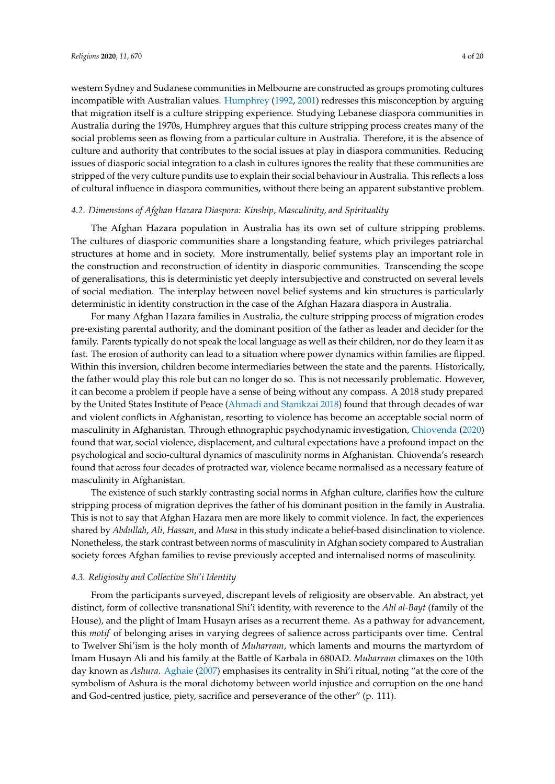western Sydney and Sudanese communities in Melbourne are constructed as groups promoting cultures incompatible with Australian values. [Humphrey](#page-18-9) [\(1992,](#page-18-9) [2001\)](#page-18-10) redresses this misconception by arguing that migration itself is a culture stripping experience. Studying Lebanese diaspora communities in Australia during the 1970s, Humphrey argues that this culture stripping process creates many of the social problems seen as flowing from a particular culture in Australia. Therefore, it is the absence of culture and authority that contributes to the social issues at play in diaspora communities. Reducing issues of diasporic social integration to a clash in cultures ignores the reality that these communities are stripped of the very culture pundits use to explain their social behaviour in Australia. This reflects a loss of cultural influence in diaspora communities, without there being an apparent substantive problem.

# *4.2. Dimensions of Afghan Hazara Diaspora: Kinship, Masculinity, and Spirituality*

The Afghan Hazara population in Australia has its own set of culture stripping problems. The cultures of diasporic communities share a longstanding feature, which privileges patriarchal structures at home and in society. More instrumentally, belief systems play an important role in the construction and reconstruction of identity in diasporic communities. Transcending the scope of generalisations, this is deterministic yet deeply intersubjective and constructed on several levels of social mediation. The interplay between novel belief systems and kin structures is particularly deterministic in identity construction in the case of the Afghan Hazara diaspora in Australia.

For many Afghan Hazara families in Australia, the culture stripping process of migration erodes pre-existing parental authority, and the dominant position of the father as leader and decider for the family. Parents typically do not speak the local language as well as their children, nor do they learn it as fast. The erosion of authority can lead to a situation where power dynamics within families are flipped. Within this inversion, children become intermediaries between the state and the parents. Historically, the father would play this role but can no longer do so. This is not necessarily problematic. However, it can become a problem if people have a sense of being without any compass. A 2018 study prepared by the United States Institute of Peace [\(Ahmadi and Stanikzai](#page-17-3) [2018\)](#page-17-3) found that through decades of war and violent conflicts in Afghanistan, resorting to violence has become an acceptable social norm of masculinity in Afghanistan. Through ethnographic psychodynamic investigation, [Chiovenda](#page-17-4) [\(2020\)](#page-17-4) found that war, social violence, displacement, and cultural expectations have a profound impact on the psychological and socio-cultural dynamics of masculinity norms in Afghanistan. Chiovenda's research found that across four decades of protracted war, violence became normalised as a necessary feature of masculinity in Afghanistan.

The existence of such starkly contrasting social norms in Afghan culture, clarifies how the culture stripping process of migration deprives the father of his dominant position in the family in Australia. This is not to say that Afghan Hazara men are more likely to commit violence. In fact, the experiences shared by *Abdullah*, *Ali, Hassan*, and *Musa* in this study indicate a belief-based disinclination to violence. Nonetheless, the stark contrast between norms of masculinity in Afghan society compared to Australian society forces Afghan families to revise previously accepted and internalised norms of masculinity.

# *4.3. Religiosity and Collective Shi'i Identity*

From the participants surveyed, discrepant levels of religiosity are observable. An abstract, yet distinct, form of collective transnational Shi'i identity, with reverence to the *Ahl al-Bayt* (family of the House), and the plight of Imam Husayn arises as a recurrent theme. As a pathway for advancement, this *motif* of belonging arises in varying degrees of salience across participants over time. Central to Twelver Shi'ism is the holy month of *Muharram*, which laments and mourns the martyrdom of Imam Husayn Ali and his family at the Battle of Karbala in 680AD. *Muharram* climaxes on the 10th day known as *Ashura*. [Aghaie](#page-17-5) [\(2007\)](#page-17-5) emphasises its centrality in Shi'i ritual, noting "at the core of the symbolism of Ashura is the moral dichotomy between world injustice and corruption on the one hand and God-centred justice, piety, sacrifice and perseverance of the other" (p. 111).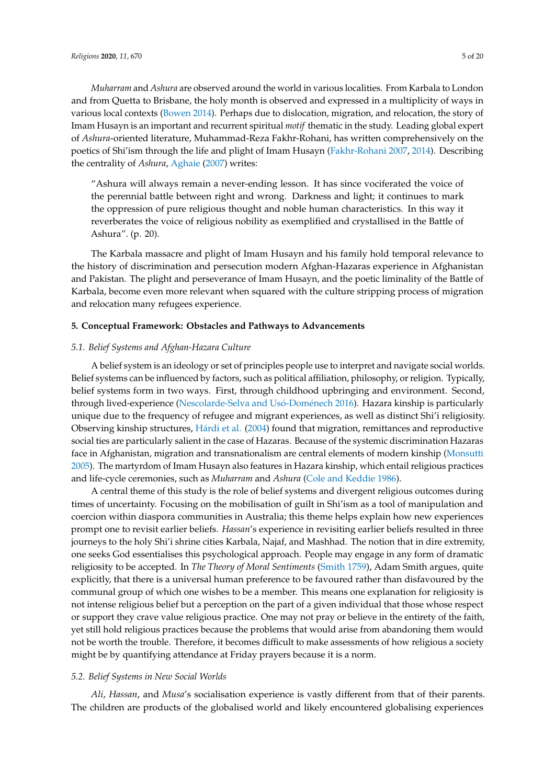*Muharram* and *Ashura* are observed around the world in various localities. From Karbala to London and from Quetta to Brisbane, the holy month is observed and expressed in a multiplicity of ways in various local contexts [\(Bowen](#page-17-6) [2014\)](#page-17-6). Perhaps due to dislocation, migration, and relocation, the story of Imam Husayn is an important and recurrent spiritual *motif* thematic in the study. Leading global expert of *Ashura*-oriented literature, Muhammad-Reza Fakhr-Rohani, has written comprehensively on the poetics of Shi'ism through the life and plight of Imam Husayn [\(Fakhr-Rohani](#page-18-11) [2007,](#page-18-11) [2014\)](#page-18-12). Describing the centrality of *Ashura*, [Aghaie](#page-17-5) [\(2007\)](#page-17-5) writes:

"Ashura will always remain a never-ending lesson. It has since vociferated the voice of the perennial battle between right and wrong. Darkness and light; it continues to mark the oppression of pure religious thought and noble human characteristics. In this way it reverberates the voice of religious nobility as exemplified and crystallised in the Battle of Ashura". (p. 20).

The Karbala massacre and plight of Imam Husayn and his family hold temporal relevance to the history of discrimination and persecution modern Afghan-Hazaras experience in Afghanistan and Pakistan. The plight and perseverance of Imam Husayn, and the poetic liminality of the Battle of Karbala, become even more relevant when squared with the culture stripping process of migration and relocation many refugees experience.

#### **5. Conceptual Framework: Obstacles and Pathways to Advancements**

#### *5.1. Belief Systems and Afghan-Hazara Culture*

A belief system is an ideology or set of principles people use to interpret and navigate social worlds. Belief systems can be influenced by factors, such as political affiliation, philosophy, or religion. Typically, belief systems form in two ways. First, through childhood upbringing and environment. Second, through lived-experience [\(Nescolarde-Selva and Us](#page-18-13)ó-Doménech [2016\)](#page-18-13). Hazara kinship is particularly unique due to the frequency of refugee and migrant experiences, as well as distinct Shi'i religiosity. Observing kinship structures, Há[rdi et al.](#page-18-14) [\(2004\)](#page-18-14) found that migration, remittances and reproductive social ties are particularly salient in the case of Hazaras. Because of the systemic discrimination Hazaras face in Afghanistan, migration and transnationalism are central elements of modern kinship [\(Monsutti](#page-18-15) [2005\)](#page-18-15). The martyrdom of Imam Husayn also features in Hazara kinship, which entail religious practices and life-cycle ceremonies, such as *Muharram* and *Ashura* [\(Cole and Keddie](#page-17-7) [1986\)](#page-17-7).

A central theme of this study is the role of belief systems and divergent religious outcomes during times of uncertainty. Focusing on the mobilisation of guilt in Shi'ism as a tool of manipulation and coercion within diaspora communities in Australia; this theme helps explain how new experiences prompt one to revisit earlier beliefs. *Hassan*'s experience in revisiting earlier beliefs resulted in three journeys to the holy Shi'i shrine cities Karbala, Najaf, and Mashhad. The notion that in dire extremity, one seeks God essentialises this psychological approach. People may engage in any form of dramatic religiosity to be accepted. In *The Theory of Moral Sentiments* [\(Smith](#page-19-0) [1759\)](#page-19-0), Adam Smith argues, quite explicitly, that there is a universal human preference to be favoured rather than disfavoured by the communal group of which one wishes to be a member. This means one explanation for religiosity is not intense religious belief but a perception on the part of a given individual that those whose respect or support they crave value religious practice. One may not pray or believe in the entirety of the faith, yet still hold religious practices because the problems that would arise from abandoning them would not be worth the trouble. Therefore, it becomes difficult to make assessments of how religious a society might be by quantifying attendance at Friday prayers because it is a norm.

#### *5.2. Belief Systems in New Social Worlds*

*Ali*, *Hassan*, and *Musa*'s socialisation experience is vastly different from that of their parents. The children are products of the globalised world and likely encountered globalising experiences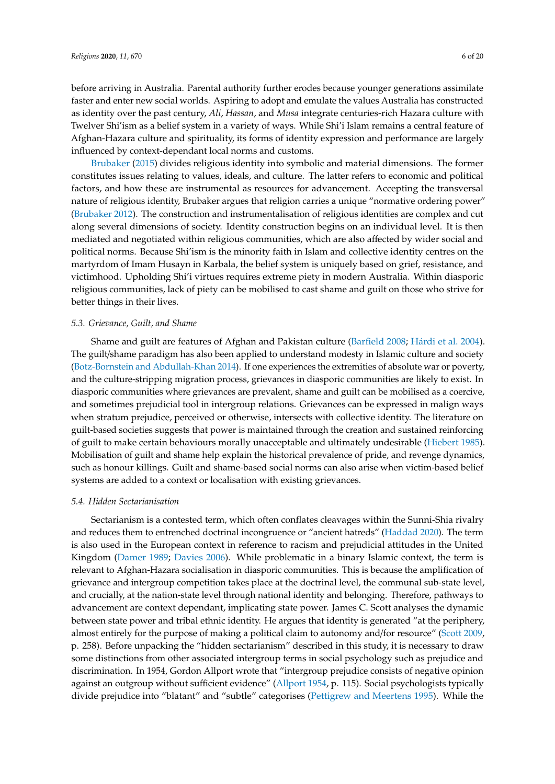before arriving in Australia. Parental authority further erodes because younger generations assimilate faster and enter new social worlds. Aspiring to adopt and emulate the values Australia has constructed as identity over the past century, *Ali*, *Hassan*, and *Musa* integrate centuries-rich Hazara culture with Twelver Shi'ism as a belief system in a variety of ways. While Shi'i Islam remains a central feature of Afghan-Hazara culture and spirituality, its forms of identity expression and performance are largely influenced by context-dependant local norms and customs.

[Brubaker](#page-17-8) [\(2015\)](#page-17-8) divides religious identity into symbolic and material dimensions. The former constitutes issues relating to values, ideals, and culture. The latter refers to economic and political factors, and how these are instrumental as resources for advancement. Accepting the transversal nature of religious identity, Brubaker argues that religion carries a unique "normative ordering power" [\(Brubaker](#page-17-9) [2012\)](#page-17-9). The construction and instrumentalisation of religious identities are complex and cut along several dimensions of society. Identity construction begins on an individual level. It is then mediated and negotiated within religious communities, which are also affected by wider social and political norms. Because Shi'ism is the minority faith in Islam and collective identity centres on the martyrdom of Imam Husayn in Karbala, the belief system is uniquely based on grief, resistance, and victimhood. Upholding Shi'i virtues requires extreme piety in modern Australia. Within diasporic religious communities, lack of piety can be mobilised to cast shame and guilt on those who strive for better things in their lives.

#### *5.3. Grievance, Guilt, and Shame*

Shame and guilt are features of Afghan and Pakistan culture [\(Barfield](#page-17-10) [2008;](#page-17-10) Há[rdi et al.](#page-18-14) [2004\)](#page-18-14). The guilt/shame paradigm has also been applied to understand modesty in Islamic culture and society [\(Botz-Bornstein and Abdullah-Khan](#page-17-11) [2014\)](#page-17-11). If one experiences the extremities of absolute war or poverty, and the culture-stripping migration process, grievances in diasporic communities are likely to exist. In diasporic communities where grievances are prevalent, shame and guilt can be mobilised as a coercive, and sometimes prejudicial tool in intergroup relations. Grievances can be expressed in malign ways when stratum prejudice, perceived or otherwise, intersects with collective identity. The literature on guilt-based societies suggests that power is maintained through the creation and sustained reinforcing of guilt to make certain behaviours morally unacceptable and ultimately undesirable [\(Hiebert](#page-18-16) [1985\)](#page-18-16). Mobilisation of guilt and shame help explain the historical prevalence of pride, and revenge dynamics, such as honour killings. Guilt and shame-based social norms can also arise when victim-based belief systems are added to a context or localisation with existing grievances.

#### *5.4. Hidden Sectarianisation*

Sectarianism is a contested term, which often conflates cleavages within the Sunni-Shia rivalry and reduces them to entrenched doctrinal incongruence or "ancient hatreds" [\(Haddad](#page-18-17) [2020\)](#page-18-17). The term is also used in the European context in reference to racism and prejudicial attitudes in the United Kingdom [\(Damer](#page-18-18) [1989;](#page-18-18) [Davies](#page-18-19) [2006\)](#page-18-19). While problematic in a binary Islamic context, the term is relevant to Afghan-Hazara socialisation in diasporic communities. This is because the amplification of grievance and intergroup competition takes place at the doctrinal level, the communal sub-state level, and crucially, at the nation-state level through national identity and belonging. Therefore, pathways to advancement are context dependant, implicating state power. James C. Scott analyses the dynamic between state power and tribal ethnic identity. He argues that identity is generated "at the periphery, almost entirely for the purpose of making a political claim to autonomy and/for resource" [\(Scott](#page-18-20) [2009,](#page-18-20) p. 258). Before unpacking the "hidden sectarianism" described in this study, it is necessary to draw some distinctions from other associated intergroup terms in social psychology such as prejudice and discrimination. In 1954, Gordon Allport wrote that "intergroup prejudice consists of negative opinion against an outgroup without sufficient evidence" [\(Allport](#page-17-12) [1954,](#page-17-12) p. 115). Social psychologists typically divide prejudice into "blatant" and "subtle" categorises [\(Pettigrew and Meertens](#page-18-21) [1995\)](#page-18-21). While the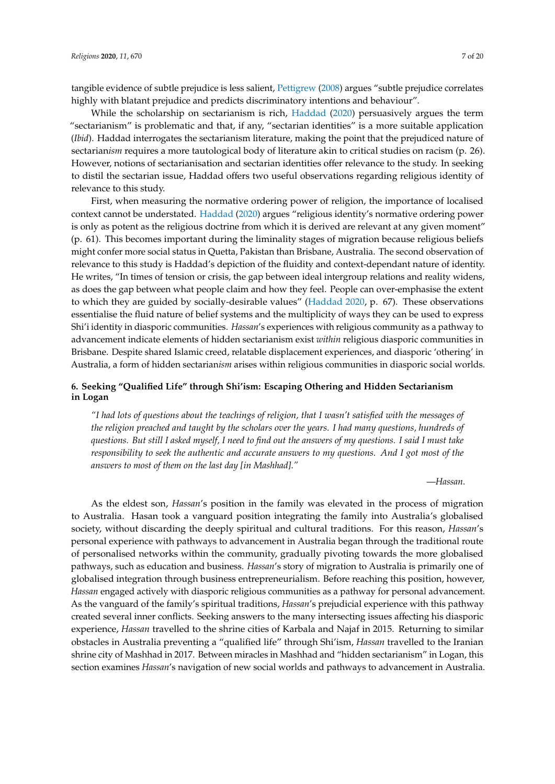tangible evidence of subtle prejudice is less salient, [Pettigrew](#page-18-22) [\(2008\)](#page-18-22) argues "subtle prejudice correlates highly with blatant prejudice and predicts discriminatory intentions and behaviour".

While the scholarship on sectarianism is rich, [Haddad](#page-18-17) [\(2020\)](#page-18-17) persuasively argues the term "sectarianism" is problematic and that, if any, "sectarian identities" is a more suitable application (*Ibid*). Haddad interrogates the sectarianism literature, making the point that the prejudiced nature of sectarian*ism* requires a more tautological body of literature akin to critical studies on racism (p. 26). However, notions of sectarianisation and sectarian identities offer relevance to the study. In seeking to distil the sectarian issue, Haddad offers two useful observations regarding religious identity of relevance to this study.

First, when measuring the normative ordering power of religion, the importance of localised context cannot be understated. [Haddad](#page-18-17) [\(2020\)](#page-18-17) argues "religious identity's normative ordering power is only as potent as the religious doctrine from which it is derived are relevant at any given moment" (p. 61). This becomes important during the liminality stages of migration because religious beliefs might confer more social status in Quetta, Pakistan than Brisbane, Australia. The second observation of relevance to this study is Haddad's depiction of the fluidity and context-dependant nature of identity. He writes, "In times of tension or crisis, the gap between ideal intergroup relations and reality widens, as does the gap between what people claim and how they feel. People can over-emphasise the extent to which they are guided by socially-desirable values" [\(Haddad](#page-18-17) [2020,](#page-18-17) p. 67). These observations essentialise the fluid nature of belief systems and the multiplicity of ways they can be used to express Shi'i identity in diasporic communities. *Hassan*'s experiences with religious community as a pathway to advancement indicate elements of hidden sectarianism exist *within* religious diasporic communities in Brisbane. Despite shared Islamic creed, relatable displacement experiences, and diasporic 'othering' in Australia, a form of hidden sectarian*ism* arises within religious communities in diasporic social worlds.

# **6. Seeking "Qualified Life" through Shi'ism: Escaping Othering and Hidden Sectarianism in Logan**

*"I had lots of questions about the teachings of religion, that I wasn't satisfied with the messages of the religion preached and taught by the scholars over the years. I had many questions, hundreds of questions. But still I asked myself, I need to find out the answers of my questions. I said I must take responsibility to seek the authentic and accurate answers to my questions. And I got most of the answers to most of them on the last day [in Mashhad]."*

—*Hassan*.

As the eldest son, *Hassan*'s position in the family was elevated in the process of migration to Australia. Hasan took a vanguard position integrating the family into Australia's globalised society, without discarding the deeply spiritual and cultural traditions. For this reason, *Hassan*'s personal experience with pathways to advancement in Australia began through the traditional route of personalised networks within the community, gradually pivoting towards the more globalised pathways, such as education and business. *Hassan*'s story of migration to Australia is primarily one of globalised integration through business entrepreneurialism. Before reaching this position, however, *Hassan* engaged actively with diasporic religious communities as a pathway for personal advancement. As the vanguard of the family's spiritual traditions, *Hassan*'s prejudicial experience with this pathway created several inner conflicts. Seeking answers to the many intersecting issues affecting his diasporic experience, *Hassan* travelled to the shrine cities of Karbala and Najaf in 2015. Returning to similar obstacles in Australia preventing a "qualified life" through Shi'ism, *Hassan* travelled to the Iranian shrine city of Mashhad in 2017. Between miracles in Mashhad and "hidden sectarianism" in Logan, this section examines *Hassan*'s navigation of new social worlds and pathways to advancement in Australia.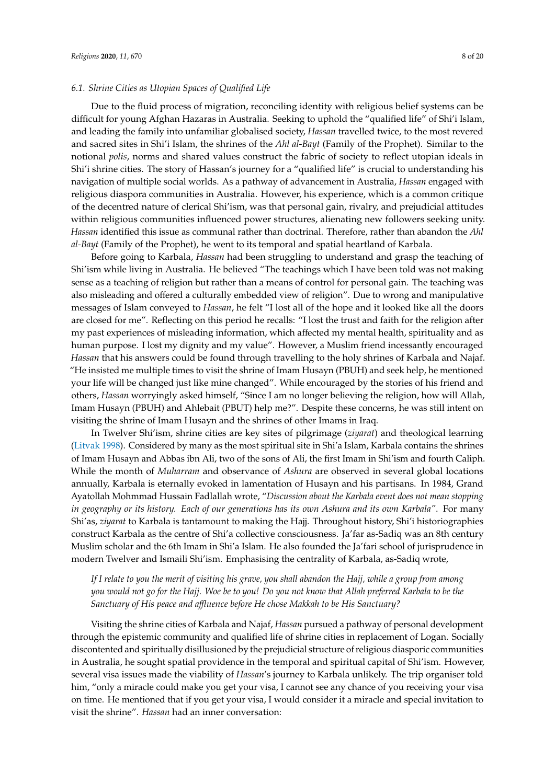# *6.1. Shrine Cities as Utopian Spaces of Qualified Life*

Due to the fluid process of migration, reconciling identity with religious belief systems can be difficult for young Afghan Hazaras in Australia. Seeking to uphold the "qualified life" of Shi'i Islam, and leading the family into unfamiliar globalised society, *Hassan* travelled twice, to the most revered and sacred sites in Shi'i Islam, the shrines of the *Ahl al-Bayt* (Family of the Prophet). Similar to the notional *polis*, norms and shared values construct the fabric of society to reflect utopian ideals in Shi'i shrine cities. The story of Hassan's journey for a "qualified life" is crucial to understanding his navigation of multiple social worlds. As a pathway of advancement in Australia, *Hassan* engaged with religious diaspora communities in Australia. However, his experience, which is a common critique of the decentred nature of clerical Shi'ism, was that personal gain, rivalry, and prejudicial attitudes within religious communities influenced power structures, alienating new followers seeking unity. *Hassan* identified this issue as communal rather than doctrinal. Therefore, rather than abandon the *Ahl al-Bayt* (Family of the Prophet), he went to its temporal and spatial heartland of Karbala.

Before going to Karbala, *Hassan* had been struggling to understand and grasp the teaching of Shi'ism while living in Australia. He believed "The teachings which I have been told was not making sense as a teaching of religion but rather than a means of control for personal gain. The teaching was also misleading and offered a culturally embedded view of religion". Due to wrong and manipulative messages of Islam conveyed to *Hassan*, he felt "I lost all of the hope and it looked like all the doors are closed for me". Reflecting on this period he recalls: "I lost the trust and faith for the religion after my past experiences of misleading information, which affected my mental health, spirituality and as human purpose. I lost my dignity and my value". However, a Muslim friend incessantly encouraged *Hassan* that his answers could be found through travelling to the holy shrines of Karbala and Najaf. "He insisted me multiple times to visit the shrine of Imam Husayn (PBUH) and seek help, he mentioned your life will be changed just like mine changed". While encouraged by the stories of his friend and others, *Hassan* worryingly asked himself, "Since I am no longer believing the religion, how will Allah, Imam Husayn (PBUH) and Ahlebait (PBUT) help me?". Despite these concerns, he was still intent on visiting the shrine of Imam Husayn and the shrines of other Imams in Iraq.

In Twelver Shi'ism, shrine cities are key sites of pilgrimage (*ziyarat*) and theological learning [\(Litvak](#page-18-23) [1998\)](#page-18-23). Considered by many as the most spiritual site in Shi'a Islam, Karbala contains the shrines of Imam Husayn and Abbas ibn Ali, two of the sons of Ali, the first Imam in Shi'ism and fourth Caliph. While the month of *Muharram* and observance of *Ashura* are observed in several global locations annually, Karbala is eternally evoked in lamentation of Husayn and his partisans. In 1984, Grand Ayatollah Mohmmad Hussain Fadlallah wrote, "*Discussion about the Karbala event does not mean stopping in geography or its history. Each of our generations has its own Ashura and its own Karbala"*. For many Shi'as, *ziyarat* to Karbala is tantamount to making the Hajj. Throughout history, Shi'i historiographies construct Karbala as the centre of Shi'a collective consciousness. Ja'far as-Sadiq was an 8th century Muslim scholar and the 6th Imam in Shi'a Islam. He also founded the Ja'fari school of jurisprudence in modern Twelver and Ismaili Shi'ism. Emphasising the centrality of Karbala, as-Sadiq wrote,

*If I relate to you the merit of visiting his grave, you shall abandon the Hajj, while a group from among you would not go for the Hajj. Woe be to you! Do you not know that Allah preferred Karbala to be the Sanctuary of His peace and a*ffl*uence before He chose Makkah to be His Sanctuary?*

Visiting the shrine cities of Karbala and Najaf, *Hassan* pursued a pathway of personal development through the epistemic community and qualified life of shrine cities in replacement of Logan. Socially discontented and spiritually disillusioned by the prejudicial structure of religious diasporic communities in Australia, he sought spatial providence in the temporal and spiritual capital of Shi'ism. However, several visa issues made the viability of *Hassan*'s journey to Karbala unlikely. The trip organiser told him, "only a miracle could make you get your visa, I cannot see any chance of you receiving your visa on time. He mentioned that if you get your visa, I would consider it a miracle and special invitation to visit the shrine". *Hassan* had an inner conversation: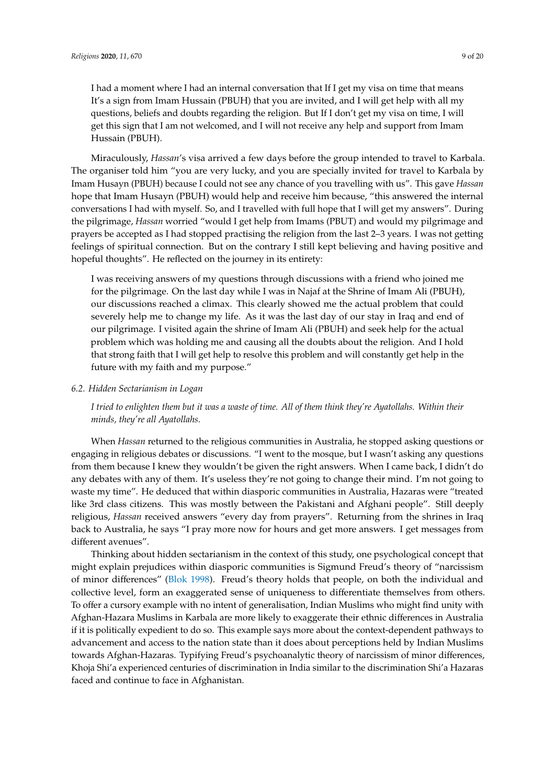I had a moment where I had an internal conversation that If I get my visa on time that means It's a sign from Imam Hussain (PBUH) that you are invited, and I will get help with all my questions, beliefs and doubts regarding the religion. But If I don't get my visa on time, I will get this sign that I am not welcomed, and I will not receive any help and support from Imam Hussain (PBUH).

Miraculously, *Hassan*'s visa arrived a few days before the group intended to travel to Karbala. The organiser told him "you are very lucky, and you are specially invited for travel to Karbala by Imam Husayn (PBUH) because I could not see any chance of you travelling with us". This gave *Hassan* hope that Imam Husayn (PBUH) would help and receive him because, "this answered the internal conversations I had with myself. So, and I travelled with full hope that I will get my answers". During the pilgrimage, *Hassan* worried "would I get help from Imams (PBUT) and would my pilgrimage and prayers be accepted as I had stopped practising the religion from the last 2–3 years. I was not getting feelings of spiritual connection. But on the contrary I still kept believing and having positive and hopeful thoughts". He reflected on the journey in its entirety:

I was receiving answers of my questions through discussions with a friend who joined me for the pilgrimage. On the last day while I was in Najaf at the Shrine of Imam Ali (PBUH), our discussions reached a climax. This clearly showed me the actual problem that could severely help me to change my life. As it was the last day of our stay in Iraq and end of our pilgrimage. I visited again the shrine of Imam Ali (PBUH) and seek help for the actual problem which was holding me and causing all the doubts about the religion. And I hold that strong faith that I will get help to resolve this problem and will constantly get help in the future with my faith and my purpose."

# *6.2. Hidden Sectarianism in Logan*

*I tried to enlighten them but it was a waste of time. All of them think they're Ayatollahs. Within their minds, they're all Ayatollahs.*

When *Hassan* returned to the religious communities in Australia, he stopped asking questions or engaging in religious debates or discussions. "I went to the mosque, but I wasn't asking any questions from them because I knew they wouldn't be given the right answers. When I came back, I didn't do any debates with any of them. It's useless they're not going to change their mind. I'm not going to waste my time". He deduced that within diasporic communities in Australia, Hazaras were "treated like 3rd class citizens. This was mostly between the Pakistani and Afghani people". Still deeply religious, *Hassan* received answers "every day from prayers". Returning from the shrines in Iraq back to Australia, he says "I pray more now for hours and get more answers. I get messages from different avenues".

Thinking about hidden sectarianism in the context of this study, one psychological concept that might explain prejudices within diasporic communities is Sigmund Freud's theory of "narcissism of minor differences" [\(Blok](#page-17-13) [1998\)](#page-17-13). Freud's theory holds that people, on both the individual and collective level, form an exaggerated sense of uniqueness to differentiate themselves from others. To offer a cursory example with no intent of generalisation, Indian Muslims who might find unity with Afghan-Hazara Muslims in Karbala are more likely to exaggerate their ethnic differences in Australia if it is politically expedient to do so. This example says more about the context-dependent pathways to advancement and access to the nation state than it does about perceptions held by Indian Muslims towards Afghan-Hazaras. Typifying Freud's psychoanalytic theory of narcissism of minor differences, Khoja Shi'a experienced centuries of discrimination in India similar to the discrimination Shi'a Hazaras faced and continue to face in Afghanistan.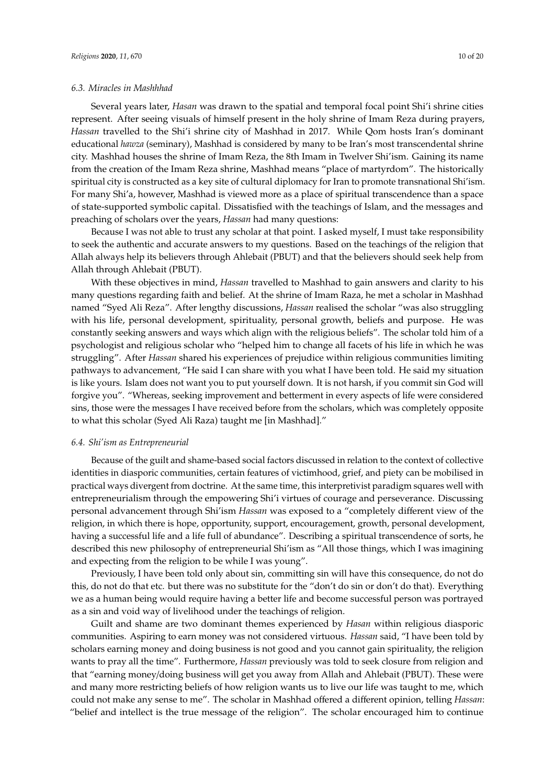#### *6.3. Miracles in Mashhhad*

Several years later, *Hasan* was drawn to the spatial and temporal focal point Shi'i shrine cities represent. After seeing visuals of himself present in the holy shrine of Imam Reza during prayers, *Hassan* travelled to the Shi'i shrine city of Mashhad in 2017. While Qom hosts Iran's dominant educational *hawza* (seminary), Mashhad is considered by many to be Iran's most transcendental shrine city. Mashhad houses the shrine of Imam Reza, the 8th Imam in Twelver Shi'ism. Gaining its name from the creation of the Imam Reza shrine, Mashhad means "place of martyrdom". The historically spiritual city is constructed as a key site of cultural diplomacy for Iran to promote transnational Shi'ism. For many Shi'a, however, Mashhad is viewed more as a place of spiritual transcendence than a space of state-supported symbolic capital. Dissatisfied with the teachings of Islam, and the messages and preaching of scholars over the years, *Hassan* had many questions:

Because I was not able to trust any scholar at that point. I asked myself, I must take responsibility to seek the authentic and accurate answers to my questions. Based on the teachings of the religion that Allah always help its believers through Ahlebait (PBUT) and that the believers should seek help from Allah through Ahlebait (PBUT).

With these objectives in mind, *Hassan* travelled to Mashhad to gain answers and clarity to his many questions regarding faith and belief. At the shrine of Imam Raza, he met a scholar in Mashhad named "Syed Ali Reza". After lengthy discussions, *Hassan* realised the scholar "was also struggling with his life, personal development, spirituality, personal growth, beliefs and purpose. He was constantly seeking answers and ways which align with the religious beliefs". The scholar told him of a psychologist and religious scholar who "helped him to change all facets of his life in which he was struggling". After *Hassan* shared his experiences of prejudice within religious communities limiting pathways to advancement, "He said I can share with you what I have been told. He said my situation is like yours. Islam does not want you to put yourself down. It is not harsh, if you commit sin God will forgive you". "Whereas, seeking improvement and betterment in every aspects of life were considered sins, those were the messages I have received before from the scholars, which was completely opposite to what this scholar (Syed Ali Raza) taught me [in Mashhad]."

#### *6.4. Shi'ism as Entrepreneurial*

Because of the guilt and shame-based social factors discussed in relation to the context of collective identities in diasporic communities, certain features of victimhood, grief, and piety can be mobilised in practical ways divergent from doctrine. At the same time, this interpretivist paradigm squares well with entrepreneurialism through the empowering Shi'i virtues of courage and perseverance. Discussing personal advancement through Shi'ism *Hassan* was exposed to a "completely different view of the religion, in which there is hope, opportunity, support, encouragement, growth, personal development, having a successful life and a life full of abundance". Describing a spiritual transcendence of sorts, he described this new philosophy of entrepreneurial Shi'ism as "All those things, which I was imagining and expecting from the religion to be while I was young".

Previously, I have been told only about sin, committing sin will have this consequence, do not do this, do not do that etc. but there was no substitute for the "don't do sin or don't do that). Everything we as a human being would require having a better life and become successful person was portrayed as a sin and void way of livelihood under the teachings of religion.

Guilt and shame are two dominant themes experienced by *Hasan* within religious diasporic communities. Aspiring to earn money was not considered virtuous. *Hassan* said, "I have been told by scholars earning money and doing business is not good and you cannot gain spirituality, the religion wants to pray all the time". Furthermore, *Hassan* previously was told to seek closure from religion and that "earning money/doing business will get you away from Allah and Ahlebait (PBUT). These were and many more restricting beliefs of how religion wants us to live our life was taught to me, which could not make any sense to me". The scholar in Mashhad offered a different opinion, telling *Hassan*: "belief and intellect is the true message of the religion". The scholar encouraged him to continue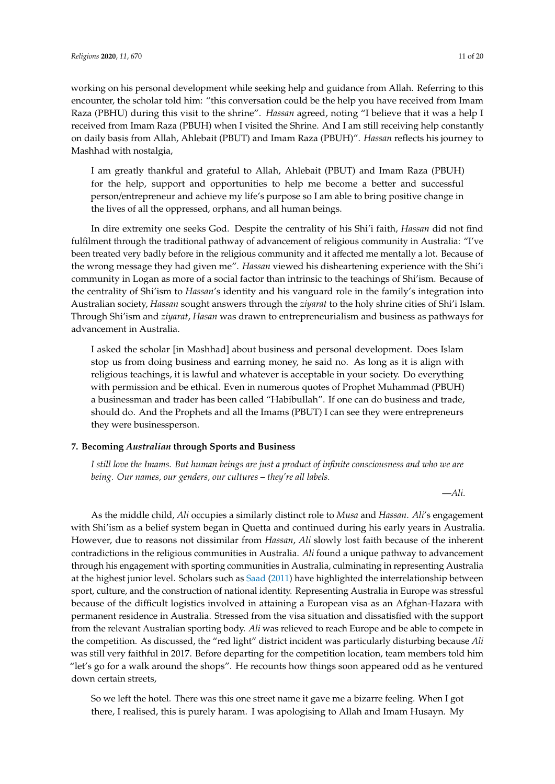working on his personal development while seeking help and guidance from Allah. Referring to this encounter, the scholar told him: "this conversation could be the help you have received from Imam Raza (PBHU) during this visit to the shrine". *Hassan* agreed, noting "I believe that it was a help I received from Imam Raza (PBUH) when I visited the Shrine. And I am still receiving help constantly on daily basis from Allah, Ahlebait (PBUT) and Imam Raza (PBUH)". *Hassan* reflects his journey to Mashhad with nostalgia,

I am greatly thankful and grateful to Allah, Ahlebait (PBUT) and Imam Raza (PBUH) for the help, support and opportunities to help me become a better and successful person/entrepreneur and achieve my life's purpose so I am able to bring positive change in the lives of all the oppressed, orphans, and all human beings.

In dire extremity one seeks God. Despite the centrality of his Shi'i faith, *Hassan* did not find fulfilment through the traditional pathway of advancement of religious community in Australia: "I've been treated very badly before in the religious community and it affected me mentally a lot. Because of the wrong message they had given me". *Hassan* viewed his disheartening experience with the Shi'i community in Logan as more of a social factor than intrinsic to the teachings of Shi'ism. Because of the centrality of Shi'ism to *Hassan*'s identity and his vanguard role in the family's integration into Australian society, *Hassan* sought answers through the *ziyarat* to the holy shrine cities of Shi'i Islam. Through Shi'ism and *ziyarat*, *Hasan* was drawn to entrepreneurialism and business as pathways for advancement in Australia.

I asked the scholar [in Mashhad] about business and personal development. Does Islam stop us from doing business and earning money, he said no. As long as it is align with religious teachings, it is lawful and whatever is acceptable in your society. Do everything with permission and be ethical. Even in numerous quotes of Prophet Muhammad (PBUH) a businessman and trader has been called "Habibullah". If one can do business and trade, should do. And the Prophets and all the Imams (PBUT) I can see they were entrepreneurs they were businessperson.

# **7. Becoming** *Australian* **through Sports and Business**

*I still love the Imams. But human beings are just a product of infinite consciousness and who we are being. Our names, our genders, our cultures – they're all labels.*

—*Ali*.

As the middle child, *Ali* occupies a similarly distinct role to *Musa* and *Hassan*. *Ali*'s engagement with Shi'ism as a belief system began in Quetta and continued during his early years in Australia. However, due to reasons not dissimilar from *Hassan*, *Ali* slowly lost faith because of the inherent contradictions in the religious communities in Australia. *Ali* found a unique pathway to advancement through his engagement with sporting communities in Australia, culminating in representing Australia at the highest junior level. Scholars such as [Saad](#page-18-24) [\(2011\)](#page-18-24) have highlighted the interrelationship between sport, culture, and the construction of national identity. Representing Australia in Europe was stressful because of the difficult logistics involved in attaining a European visa as an Afghan-Hazara with permanent residence in Australia. Stressed from the visa situation and dissatisfied with the support from the relevant Australian sporting body. *Ali* was relieved to reach Europe and be able to compete in the competition. As discussed, the "red light" district incident was particularly disturbing because *Ali* was still very faithful in 2017. Before departing for the competition location, team members told him "let's go for a walk around the shops". He recounts how things soon appeared odd as he ventured down certain streets,

So we left the hotel. There was this one street name it gave me a bizarre feeling. When I got there, I realised, this is purely haram. I was apologising to Allah and Imam Husayn. My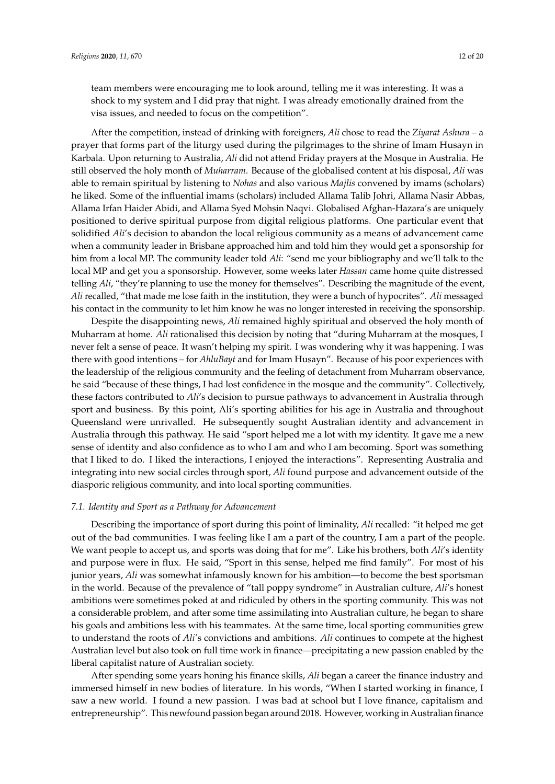team members were encouraging me to look around, telling me it was interesting. It was a shock to my system and I did pray that night. I was already emotionally drained from the visa issues, and needed to focus on the competition".

After the competition, instead of drinking with foreigners, *Ali* chose to read the *Ziyarat Ashura* – a prayer that forms part of the liturgy used during the pilgrimages to the shrine of Imam Husayn in Karbala. Upon returning to Australia, *Ali* did not attend Friday prayers at the Mosque in Australia. He still observed the holy month of *Muharram*. Because of the globalised content at his disposal, *Ali* was able to remain spiritual by listening to *Nohas* and also various *Majlis* convened by imams (scholars) he liked. Some of the influential imams (scholars) included Allama Talib Johri, Allama Nasir Abbas, Allama Irfan Haider Abidi, and Allama Syed Mohsin Naqvi. Globalised Afghan-Hazara's are uniquely positioned to derive spiritual purpose from digital religious platforms. One particular event that solidified *Ali*'s decision to abandon the local religious community as a means of advancement came when a community leader in Brisbane approached him and told him they would get a sponsorship for him from a local MP. The community leader told *Ali*: "send me your bibliography and we'll talk to the local MP and get you a sponsorship. However, some weeks later *Hassan* came home quite distressed telling *Ali*, "they're planning to use the money for themselves". Describing the magnitude of the event, *Ali* recalled, "that made me lose faith in the institution, they were a bunch of hypocrites". *Ali* messaged his contact in the community to let him know he was no longer interested in receiving the sponsorship.

Despite the disappointing news, *Ali* remained highly spiritual and observed the holy month of Muharram at home. *Ali* rationalised this decision by noting that "during Muharram at the mosques, I never felt a sense of peace. It wasn't helping my spirit. I was wondering why it was happening. I was there with good intentions – for *AhluBayt* and for Imam Husayn". Because of his poor experiences with the leadership of the religious community and the feeling of detachment from Muharram observance, he said "because of these things, I had lost confidence in the mosque and the community". Collectively, these factors contributed to *Ali*'s decision to pursue pathways to advancement in Australia through sport and business. By this point, Ali's sporting abilities for his age in Australia and throughout Queensland were unrivalled. He subsequently sought Australian identity and advancement in Australia through this pathway. He said "sport helped me a lot with my identity. It gave me a new sense of identity and also confidence as to who I am and who I am becoming. Sport was something that I liked to do. I liked the interactions, I enjoyed the interactions". Representing Australia and integrating into new social circles through sport, *Ali* found purpose and advancement outside of the diasporic religious community, and into local sporting communities.

# *7.1. Identity and Sport as a Pathway for Advancement*

Describing the importance of sport during this point of liminality, *Ali* recalled: "it helped me get out of the bad communities. I was feeling like I am a part of the country, I am a part of the people. We want people to accept us, and sports was doing that for me". Like his brothers, both *Ali*'s identity and purpose were in flux. He said, "Sport in this sense, helped me find family". For most of his junior years, *Ali* was somewhat infamously known for his ambition—to become the best sportsman in the world. Because of the prevalence of "tall poppy syndrome" in Australian culture, *Ali*'s honest ambitions were sometimes poked at and ridiculed by others in the sporting community. This was not a considerable problem, and after some time assimilating into Australian culture, he began to share his goals and ambitions less with his teammates. At the same time, local sporting communities grew to understand the roots of *Ali'*s convictions and ambitions. *Ali* continues to compete at the highest Australian level but also took on full time work in finance—precipitating a new passion enabled by the liberal capitalist nature of Australian society.

After spending some years honing his finance skills, *Ali* began a career the finance industry and immersed himself in new bodies of literature. In his words, "When I started working in finance, I saw a new world. I found a new passion. I was bad at school but I love finance, capitalism and entrepreneurship". This newfound passion began around 2018. However, working in Australian finance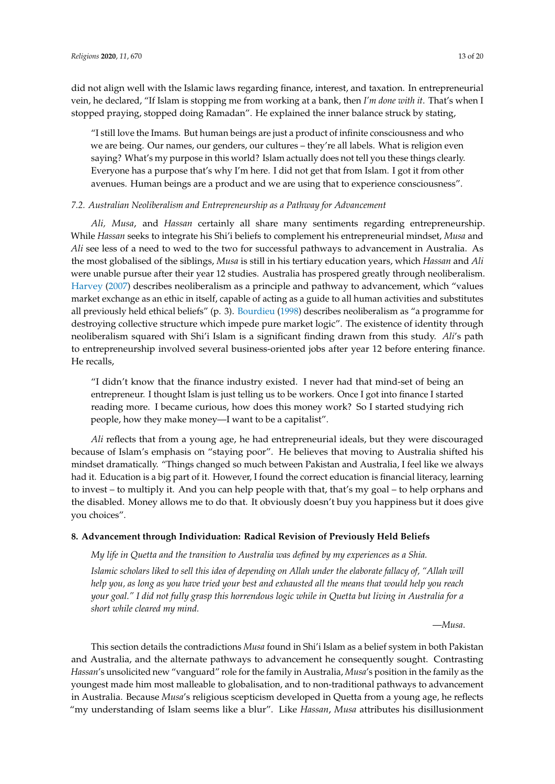did not align well with the Islamic laws regarding finance, interest, and taxation. In entrepreneurial vein, he declared, "If Islam is stopping me from working at a bank, then *I'm done with it*. That's when I stopped praying, stopped doing Ramadan". He explained the inner balance struck by stating,

"I still love the Imams. But human beings are just a product of infinite consciousness and who we are being. Our names, our genders, our cultures – they're all labels. What is religion even saying? What's my purpose in this world? Islam actually does not tell you these things clearly. Everyone has a purpose that's why I'm here. I did not get that from Islam. I got it from other avenues. Human beings are a product and we are using that to experience consciousness".

# *7.2. Australian Neoliberalism and Entrepreneurship as a Pathway for Advancement*

*Ali, Musa*, and *Hassan* certainly all share many sentiments regarding entrepreneurship. While *Hassan* seeks to integrate his Shi'i beliefs to complement his entrepreneurial mindset, *Musa* and *Ali* see less of a need to wed to the two for successful pathways to advancement in Australia. As the most globalised of the siblings, *Musa* is still in his tertiary education years, which *Hassan* and *Ali* were unable pursue after their year 12 studies. Australia has prospered greatly through neoliberalism. [Harvey](#page-18-25) [\(2007\)](#page-18-25) describes neoliberalism as a principle and pathway to advancement, which "values market exchange as an ethic in itself, capable of acting as a guide to all human activities and substitutes all previously held ethical beliefs" (p. 3). [Bourdieu](#page-17-14) [\(1998\)](#page-17-14) describes neoliberalism as "a programme for destroying collective structure which impede pure market logic". The existence of identity through neoliberalism squared with Shi'i Islam is a significant finding drawn from this study. *Ali*'s path to entrepreneurship involved several business-oriented jobs after year 12 before entering finance. He recalls,

"I didn't know that the finance industry existed. I never had that mind-set of being an entrepreneur. I thought Islam is just telling us to be workers. Once I got into finance I started reading more. I became curious, how does this money work? So I started studying rich people, how they make money—I want to be a capitalist".

*Ali* reflects that from a young age, he had entrepreneurial ideals, but they were discouraged because of Islam's emphasis on "staying poor". He believes that moving to Australia shifted his mindset dramatically. "Things changed so much between Pakistan and Australia, I feel like we always had it. Education is a big part of it. However, I found the correct education is financial literacy, learning to invest – to multiply it. And you can help people with that, that's my goal – to help orphans and the disabled. Money allows me to do that. It obviously doesn't buy you happiness but it does give you choices".

# **8. Advancement through Individuation: Radical Revision of Previously Held Beliefs**

*My life in Quetta and the transition to Australia was defined by my experiences as a Shia.*

*Islamic scholars liked to sell this idea of depending on Allah under the elaborate fallacy of, "Allah will help you, as long as you have tried your best and exhausted all the means that would help you reach your goal." I did not fully grasp this horrendous logic while in Quetta but living in Australia for a short while cleared my mind.*

—*Musa*.

This section details the contradictions *Musa* found in Shi'i Islam as a belief system in both Pakistan and Australia, and the alternate pathways to advancement he consequently sought. Contrasting *Hassan*'s unsolicited new "vanguard" role for the family in Australia, *Musa*'s position in the family as the youngest made him most malleable to globalisation, and to non-traditional pathways to advancement in Australia. Because *Musa*'s religious scepticism developed in Quetta from a young age, he reflects "my understanding of Islam seems like a blur". Like *Hassan*, *Musa* attributes his disillusionment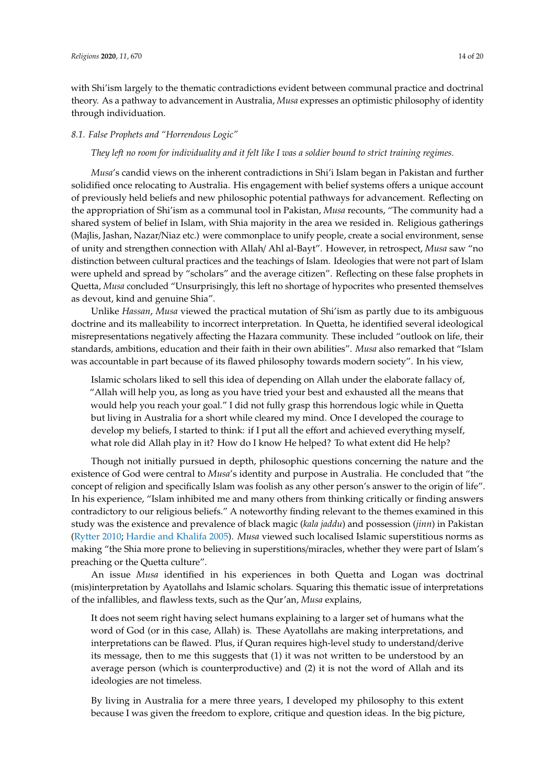with Shi'ism largely to the thematic contradictions evident between communal practice and doctrinal theory. As a pathway to advancement in Australia, *Musa* expresses an optimistic philosophy of identity through individuation.

# *8.1. False Prophets and "Horrendous Logic"*

#### *They left no room for individuality and it felt like I was a soldier bound to strict training regimes.*

*Musa*'s candid views on the inherent contradictions in Shi'i Islam began in Pakistan and further solidified once relocating to Australia. His engagement with belief systems offers a unique account of previously held beliefs and new philosophic potential pathways for advancement. Reflecting on the appropriation of Shi'ism as a communal tool in Pakistan, *Musa* recounts, "The community had a shared system of belief in Islam, with Shia majority in the area we resided in. Religious gatherings (Majlis, Jashan, Nazar/Niaz etc.) were commonplace to unify people, create a social environment, sense of unity and strengthen connection with Allah/ Ahl al-Bayt". However, in retrospect, *Musa* saw "no distinction between cultural practices and the teachings of Islam. Ideologies that were not part of Islam were upheld and spread by "scholars" and the average citizen". Reflecting on these false prophets in Quetta, *Musa* concluded "Unsurprisingly, this left no shortage of hypocrites who presented themselves as devout, kind and genuine Shia".

Unlike *Hassan*, *Musa* viewed the practical mutation of Shi'ism as partly due to its ambiguous doctrine and its malleability to incorrect interpretation. In Quetta, he identified several ideological misrepresentations negatively affecting the Hazara community. These included "outlook on life, their standards, ambitions, education and their faith in their own abilities". *Musa* also remarked that "Islam was accountable in part because of its flawed philosophy towards modern society". In his view,

Islamic scholars liked to sell this idea of depending on Allah under the elaborate fallacy of, "Allah will help you, as long as you have tried your best and exhausted all the means that would help you reach your goal." I did not fully grasp this horrendous logic while in Quetta but living in Australia for a short while cleared my mind. Once I developed the courage to develop my beliefs, I started to think: if I put all the effort and achieved everything myself, what role did Allah play in it? How do I know He helped? To what extent did He help?

Though not initially pursued in depth, philosophic questions concerning the nature and the existence of God were central to *Musa*'s identity and purpose in Australia. He concluded that "the concept of religion and specifically Islam was foolish as any other person's answer to the origin of life". In his experience, "Islam inhibited me and many others from thinking critically or finding answers contradictory to our religious beliefs." A noteworthy finding relevant to the themes examined in this study was the existence and prevalence of black magic (*kala jaddu*) and possession (*jinn*) in Pakistan [\(Rytter](#page-18-26) [2010;](#page-18-26) [Hardie and Khalifa](#page-18-27) [2005\)](#page-18-27). *Musa* viewed such localised Islamic superstitious norms as making "the Shia more prone to believing in superstitions/miracles, whether they were part of Islam's preaching or the Quetta culture".

An issue *Musa* identified in his experiences in both Quetta and Logan was doctrinal (mis)interpretation by Ayatollahs and Islamic scholars. Squaring this thematic issue of interpretations of the infallibles, and flawless texts, such as the Qur'an, *Musa* explains,

It does not seem right having select humans explaining to a larger set of humans what the word of God (or in this case, Allah) is. These Ayatollahs are making interpretations, and interpretations can be flawed. Plus, if Quran requires high-level study to understand/derive its message, then to me this suggests that (1) it was not written to be understood by an average person (which is counterproductive) and (2) it is not the word of Allah and its ideologies are not timeless.

By living in Australia for a mere three years, I developed my philosophy to this extent because I was given the freedom to explore, critique and question ideas. In the big picture,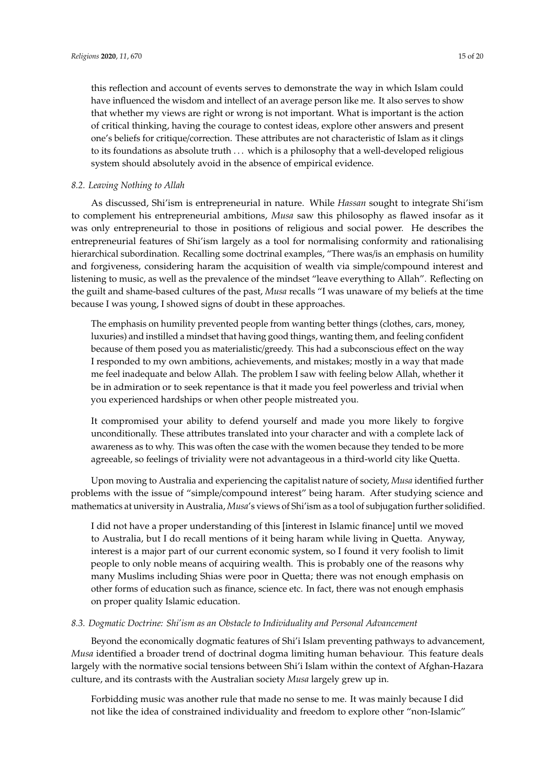this reflection and account of events serves to demonstrate the way in which Islam could have influenced the wisdom and intellect of an average person like me. It also serves to show that whether my views are right or wrong is not important. What is important is the action of critical thinking, having the courage to contest ideas, explore other answers and present one's beliefs for critique/correction. These attributes are not characteristic of Islam as it clings to its foundations as absolute truth ... which is a philosophy that a well-developed religious system should absolutely avoid in the absence of empirical evidence.

# *8.2. Leaving Nothing to Allah*

As discussed, Shi'ism is entrepreneurial in nature. While *Hassan* sought to integrate Shi'ism to complement his entrepreneurial ambitions, *Musa* saw this philosophy as flawed insofar as it was only entrepreneurial to those in positions of religious and social power. He describes the entrepreneurial features of Shi'ism largely as a tool for normalising conformity and rationalising hierarchical subordination. Recalling some doctrinal examples, "There was/is an emphasis on humility and forgiveness, considering haram the acquisition of wealth via simple/compound interest and listening to music, as well as the prevalence of the mindset "leave everything to Allah". Reflecting on the guilt and shame-based cultures of the past, *Musa* recalls "I was unaware of my beliefs at the time because I was young, I showed signs of doubt in these approaches.

The emphasis on humility prevented people from wanting better things (clothes, cars, money, luxuries) and instilled a mindset that having good things, wanting them, and feeling confident because of them posed you as materialistic/greedy. This had a subconscious effect on the way I responded to my own ambitions, achievements, and mistakes; mostly in a way that made me feel inadequate and below Allah. The problem I saw with feeling below Allah, whether it be in admiration or to seek repentance is that it made you feel powerless and trivial when you experienced hardships or when other people mistreated you.

It compromised your ability to defend yourself and made you more likely to forgive unconditionally. These attributes translated into your character and with a complete lack of awareness as to why. This was often the case with the women because they tended to be more agreeable, so feelings of triviality were not advantageous in a third-world city like Quetta.

Upon moving to Australia and experiencing the capitalist nature of society, *Musa* identified further problems with the issue of "simple/compound interest" being haram. After studying science and mathematics at university in Australia, *Musa*'s views of Shi'ism as a tool of subjugation further solidified.

I did not have a proper understanding of this [interest in Islamic finance] until we moved to Australia, but I do recall mentions of it being haram while living in Quetta. Anyway, interest is a major part of our current economic system, so I found it very foolish to limit people to only noble means of acquiring wealth. This is probably one of the reasons why many Muslims including Shias were poor in Quetta; there was not enough emphasis on other forms of education such as finance, science etc. In fact, there was not enough emphasis on proper quality Islamic education.

# *8.3. Dogmatic Doctrine: Shi'ism as an Obstacle to Individuality and Personal Advancement*

Beyond the economically dogmatic features of Shi'i Islam preventing pathways to advancement, *Musa* identified a broader trend of doctrinal dogma limiting human behaviour. This feature deals largely with the normative social tensions between Shi'i Islam within the context of Afghan-Hazara culture, and its contrasts with the Australian society *Musa* largely grew up in.

Forbidding music was another rule that made no sense to me. It was mainly because I did not like the idea of constrained individuality and freedom to explore other "non-Islamic"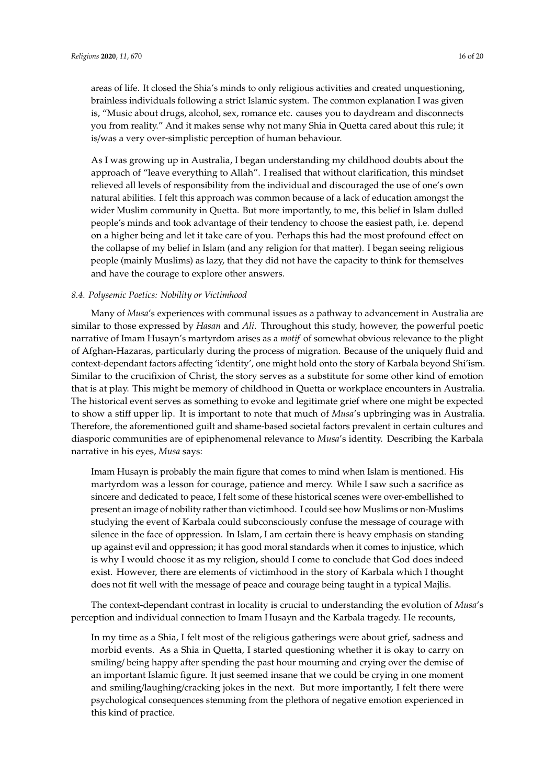areas of life. It closed the Shia's minds to only religious activities and created unquestioning, brainless individuals following a strict Islamic system. The common explanation I was given is, "Music about drugs, alcohol, sex, romance etc. causes you to daydream and disconnects you from reality." And it makes sense why not many Shia in Quetta cared about this rule; it is/was a very over-simplistic perception of human behaviour.

As I was growing up in Australia, I began understanding my childhood doubts about the approach of "leave everything to Allah". I realised that without clarification, this mindset relieved all levels of responsibility from the individual and discouraged the use of one's own natural abilities. I felt this approach was common because of a lack of education amongst the wider Muslim community in Quetta. But more importantly, to me, this belief in Islam dulled people's minds and took advantage of their tendency to choose the easiest path, i.e. depend on a higher being and let it take care of you. Perhaps this had the most profound effect on the collapse of my belief in Islam (and any religion for that matter). I began seeing religious people (mainly Muslims) as lazy, that they did not have the capacity to think for themselves and have the courage to explore other answers.

# *8.4. Polysemic Poetics: Nobility or Victimhood*

Many of *Musa*'s experiences with communal issues as a pathway to advancement in Australia are similar to those expressed by *Hasan* and *Ali*. Throughout this study, however, the powerful poetic narrative of Imam Husayn's martyrdom arises as a *motif* of somewhat obvious relevance to the plight of Afghan-Hazaras, particularly during the process of migration. Because of the uniquely fluid and context-dependant factors affecting 'identity', one might hold onto the story of Karbala beyond Shi'ism. Similar to the crucifixion of Christ, the story serves as a substitute for some other kind of emotion that is at play. This might be memory of childhood in Quetta or workplace encounters in Australia. The historical event serves as something to evoke and legitimate grief where one might be expected to show a stiff upper lip. It is important to note that much of *Musa*'s upbringing was in Australia. Therefore, the aforementioned guilt and shame-based societal factors prevalent in certain cultures and diasporic communities are of epiphenomenal relevance to *Musa*'s identity. Describing the Karbala narrative in his eyes, *Musa* says:

Imam Husayn is probably the main figure that comes to mind when Islam is mentioned. His martyrdom was a lesson for courage, patience and mercy. While I saw such a sacrifice as sincere and dedicated to peace, I felt some of these historical scenes were over-embellished to present an image of nobility rather than victimhood. I could see how Muslims or non-Muslims studying the event of Karbala could subconsciously confuse the message of courage with silence in the face of oppression. In Islam, I am certain there is heavy emphasis on standing up against evil and oppression; it has good moral standards when it comes to injustice, which is why I would choose it as my religion, should I come to conclude that God does indeed exist. However, there are elements of victimhood in the story of Karbala which I thought does not fit well with the message of peace and courage being taught in a typical Majlis.

The context-dependant contrast in locality is crucial to understanding the evolution of *Musa*'s perception and individual connection to Imam Husayn and the Karbala tragedy. He recounts,

In my time as a Shia, I felt most of the religious gatherings were about grief, sadness and morbid events. As a Shia in Quetta, I started questioning whether it is okay to carry on smiling/ being happy after spending the past hour mourning and crying over the demise of an important Islamic figure. It just seemed insane that we could be crying in one moment and smiling/laughing/cracking jokes in the next. But more importantly, I felt there were psychological consequences stemming from the plethora of negative emotion experienced in this kind of practice.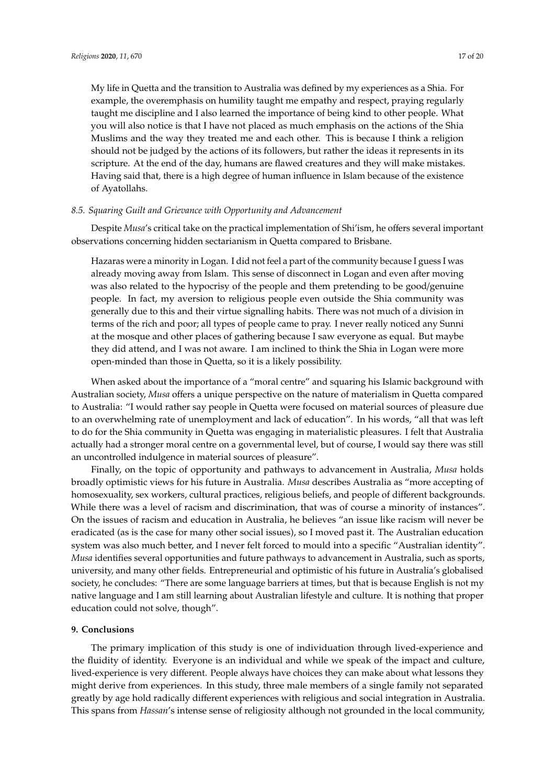My life in Quetta and the transition to Australia was defined by my experiences as a Shia. For example, the overemphasis on humility taught me empathy and respect, praying regularly taught me discipline and I also learned the importance of being kind to other people. What you will also notice is that I have not placed as much emphasis on the actions of the Shia Muslims and the way they treated me and each other. This is because I think a religion should not be judged by the actions of its followers, but rather the ideas it represents in its scripture. At the end of the day, humans are flawed creatures and they will make mistakes. Having said that, there is a high degree of human influence in Islam because of the existence of Ayatollahs.

# *8.5. Squaring Guilt and Grievance with Opportunity and Advancement*

Despite *Musa*'s critical take on the practical implementation of Shi'ism, he offers several important observations concerning hidden sectarianism in Quetta compared to Brisbane.

Hazaras were a minority in Logan. I did not feel a part of the community because I guess I was already moving away from Islam. This sense of disconnect in Logan and even after moving was also related to the hypocrisy of the people and them pretending to be good/genuine people. In fact, my aversion to religious people even outside the Shia community was generally due to this and their virtue signalling habits. There was not much of a division in terms of the rich and poor; all types of people came to pray. I never really noticed any Sunni at the mosque and other places of gathering because I saw everyone as equal. But maybe they did attend, and I was not aware. I am inclined to think the Shia in Logan were more open-minded than those in Quetta, so it is a likely possibility.

When asked about the importance of a "moral centre" and squaring his Islamic background with Australian society, *Musa* offers a unique perspective on the nature of materialism in Quetta compared to Australia: "I would rather say people in Quetta were focused on material sources of pleasure due to an overwhelming rate of unemployment and lack of education". In his words, "all that was left to do for the Shia community in Quetta was engaging in materialistic pleasures. I felt that Australia actually had a stronger moral centre on a governmental level, but of course, I would say there was still an uncontrolled indulgence in material sources of pleasure".

Finally, on the topic of opportunity and pathways to advancement in Australia, *Musa* holds broadly optimistic views for his future in Australia. *Musa* describes Australia as "more accepting of homosexuality, sex workers, cultural practices, religious beliefs, and people of different backgrounds. While there was a level of racism and discrimination, that was of course a minority of instances". On the issues of racism and education in Australia, he believes "an issue like racism will never be eradicated (as is the case for many other social issues), so I moved past it. The Australian education system was also much better, and I never felt forced to mould into a specific "Australian identity". *Musa* identifies several opportunities and future pathways to advancement in Australia, such as sports, university, and many other fields. Entrepreneurial and optimistic of his future in Australia's globalised society, he concludes: "There are some language barriers at times, but that is because English is not my native language and I am still learning about Australian lifestyle and culture. It is nothing that proper education could not solve, though".

# **9. Conclusions**

The primary implication of this study is one of individuation through lived-experience and the fluidity of identity. Everyone is an individual and while we speak of the impact and culture, lived-experience is very different. People always have choices they can make about what lessons they might derive from experiences. In this study, three male members of a single family not separated greatly by age hold radically different experiences with religious and social integration in Australia. This spans from *Hassan*'s intense sense of religiosity although not grounded in the local community,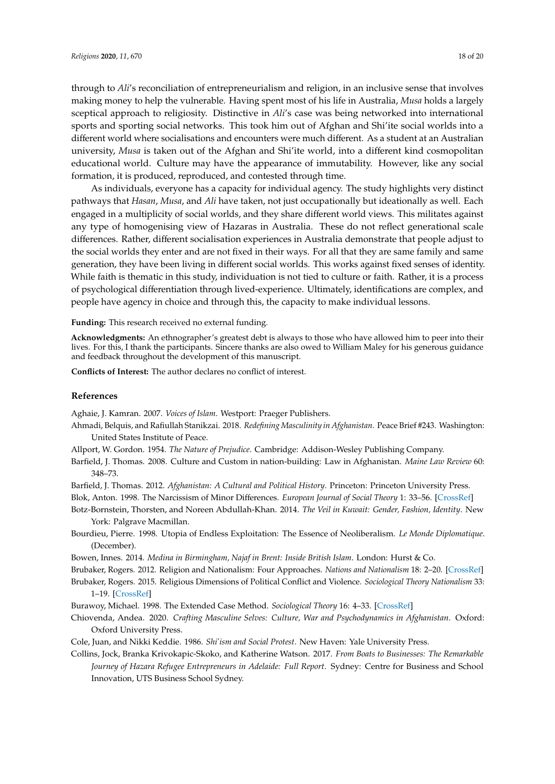through to *Ali*'s reconciliation of entrepreneurialism and religion, in an inclusive sense that involves making money to help the vulnerable. Having spent most of his life in Australia, *Musa* holds a largely sceptical approach to religiosity. Distinctive in *Ali*'s case was being networked into international sports and sporting social networks. This took him out of Afghan and Shi'ite social worlds into a different world where socialisations and encounters were much different. As a student at an Australian university, *Musa* is taken out of the Afghan and Shi'ite world, into a different kind cosmopolitan educational world. Culture may have the appearance of immutability. However, like any social formation, it is produced, reproduced, and contested through time.

As individuals, everyone has a capacity for individual agency. The study highlights very distinct pathways that *Hasan*, *Musa*, and *Ali* have taken, not just occupationally but ideationally as well. Each engaged in a multiplicity of social worlds, and they share different world views. This militates against any type of homogenising view of Hazaras in Australia. These do not reflect generational scale differences. Rather, different socialisation experiences in Australia demonstrate that people adjust to the social worlds they enter and are not fixed in their ways. For all that they are same family and same generation, they have been living in different social worlds. This works against fixed senses of identity. While faith is thematic in this study, individuation is not tied to culture or faith. Rather, it is a process of psychological differentiation through lived-experience. Ultimately, identifications are complex, and people have agency in choice and through this, the capacity to make individual lessons.

**Funding:** This research received no external funding.

**Acknowledgments:** An ethnographer's greatest debt is always to those who have allowed him to peer into their lives. For this, I thank the participants. Sincere thanks are also owed to William Maley for his generous guidance and feedback throughout the development of this manuscript.

**Conflicts of Interest:** The author declares no conflict of interest.

## **References**

<span id="page-17-5"></span><span id="page-17-3"></span>Aghaie, J. Kamran. 2007. *Voices of Islam*. Westport: Praeger Publishers.

- Ahmadi, Belquis, and Rafiullah Stanikzai. 2018. *Redefining Masculinity in Afghanistan*. Peace Brief #243. Washington: United States Institute of Peace.
- <span id="page-17-12"></span>Allport, W. Gordon. 1954. *The Nature of Prejudice*. Cambridge: Addison-Wesley Publishing Company.
- <span id="page-17-10"></span>Barfield, J. Thomas. 2008. Culture and Custom in nation-building: Law in Afghanistan. *Maine Law Review* 60: 348–73.
- <span id="page-17-0"></span>Barfield, J. Thomas. 2012. *Afghanistan: A Cultural and Political History*. Princeton: Princeton University Press.
- <span id="page-17-13"></span>Blok, Anton. 1998. The Narcissism of Minor Differences. *European Journal of Social Theory* 1: 33–56. [\[CrossRef\]](http://dx.doi.org/10.1177/136843198001001004)
- <span id="page-17-11"></span>Botz-Bornstein, Thorsten, and Noreen Abdullah-Khan. 2014. *The Veil in Kuwait: Gender, Fashion, Identity*. New York: Palgrave Macmillan.
- <span id="page-17-14"></span>Bourdieu, Pierre. 1998. Utopia of Endless Exploitation: The Essence of Neoliberalism. *Le Monde Diplomatique*. (December).
- <span id="page-17-6"></span>Bowen, Innes. 2014. *Medina in Birmingham, Najaf in Brent: Inside British Islam*. London: Hurst & Co.
- <span id="page-17-9"></span>Brubaker, Rogers. 2012. Religion and Nationalism: Four Approaches. *Nations and Nationalism* 18: 2–20. [\[CrossRef\]](http://dx.doi.org/10.1111/j.1469-8129.2011.00486.x)
- <span id="page-17-8"></span>Brubaker, Rogers. 2015. Religious Dimensions of Political Conflict and Violence. *Sociological Theory Nationalism* 33: 1–19. [\[CrossRef\]](http://dx.doi.org/10.1177/0735275115572153)
- <span id="page-17-2"></span>Burawoy, Michael. 1998. The Extended Case Method. *Sociological Theory* 16: 4–33. [\[CrossRef\]](http://dx.doi.org/10.1111/0735-2751.00040)
- <span id="page-17-4"></span>Chiovenda, Andea. 2020. *Crafting Masculine Selves: Culture, War and Psychodynamics in Afghanistan*. Oxford: Oxford University Press.
- <span id="page-17-7"></span>Cole, Juan, and Nikki Keddie. 1986. *Shi'ism and Social Protest*. New Haven: Yale University Press.
- <span id="page-17-1"></span>Collins, Jock, Branka Krivokapic-Skoko, and Katherine Watson. 2017. *From Boats to Businesses: The Remarkable Journey of Hazara Refugee Entrepreneurs in Adelaide: Full Report*. Sydney: Centre for Business and School Innovation, UTS Business School Sydney.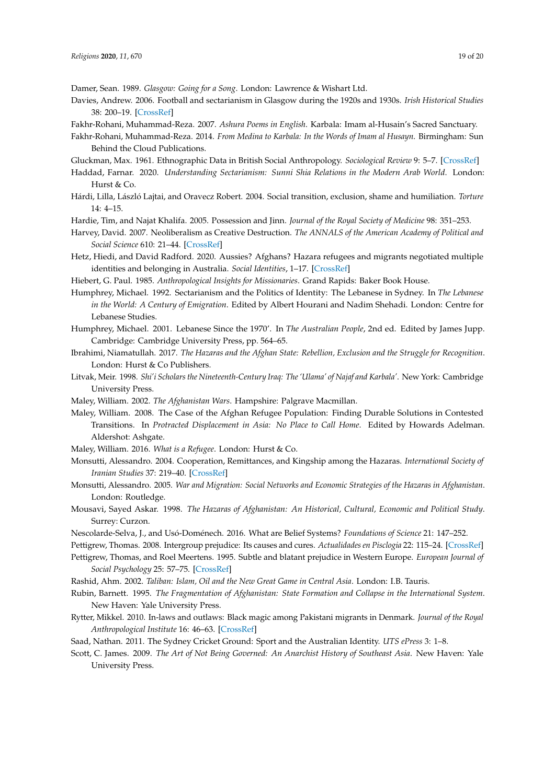<span id="page-18-18"></span>Damer, Sean. 1989. *Glasgow: Going for a Song*. London: Lawrence & Wishart Ltd.

- <span id="page-18-19"></span>Davies, Andrew. 2006. Football and sectarianism in Glasgow during the 1920s and 1930s. *Irish Historical Studies* 38: 200–19. [\[CrossRef\]](http://dx.doi.org/10.1017/S0021121400004892)
- <span id="page-18-11"></span>Fakhr-Rohani, Muhammad-Reza. 2007. *Ashura Poems in English*. Karbala: Imam al-Husain's Sacred Sanctuary.
- <span id="page-18-12"></span>Fakhr-Rohani, Muhammad-Reza. 2014. *From Medina to Karbala: In the Words of Imam al Husayn*. Birmingham: Sun Behind the Cloud Publications.
- <span id="page-18-17"></span><span id="page-18-7"></span>Gluckman, Max. 1961. Ethnographic Data in British Social Anthropology. *Sociological Review* 9: 5–7. [\[CrossRef\]](http://dx.doi.org/10.1111/j.1467-954X.1961.tb01082.x)
- Haddad, Farnar. 2020. *Understanding Sectarianism: Sunni Shia Relations in the Modern Arab World*. London: Hurst  $& Co.$
- <span id="page-18-14"></span>Hárdi, Lilla, László Lajtai, and Oravecz Robert. 2004. Social transition, exclusion, shame and humiliation. *Torture* 14: 4–15.
- <span id="page-18-27"></span>Hardie, Tim, and Najat Khalifa. 2005. Possession and Jinn. *Journal of the Royal Society of Medicine* 98: 351–253.
- <span id="page-18-25"></span>Harvey, David. 2007. Neoliberalism as Creative Destruction. *The ANNALS of the American Academy of Political and Social Science* 610: 21–44. [\[CrossRef\]](http://dx.doi.org/10.1177/0002716206296780)
- <span id="page-18-8"></span>Hetz, Hiedi, and David Radford. 2020. Aussies? Afghans? Hazara refugees and migrants negotiated multiple identities and belonging in Australia. *Social Identities*, 1–17. [\[CrossRef\]](http://dx.doi.org/10.1080/13504630)
- <span id="page-18-16"></span>Hiebert, G. Paul. 1985. *Anthropological Insights for Missionaries*. Grand Rapids: Baker Book House.
- <span id="page-18-9"></span>Humphrey, Michael. 1992. Sectarianism and the Politics of Identity: The Lebanese in Sydney. In *The Lebanese in the World: A Century of Emigration*. Edited by Albert Hourani and Nadim Shehadi. London: Centre for Lebanese Studies.
- <span id="page-18-10"></span>Humphrey, Michael. 2001. Lebanese Since the 1970'. In *The Australian People*, 2nd ed. Edited by James Jupp. Cambridge: Cambridge University Press, pp. 564–65.
- <span id="page-18-6"></span>Ibrahimi, Niamatullah. 2017. *The Hazaras and the Afghan State: Rebellion, Exclusion and the Struggle for Recognition*. London: Hurst & Co Publishers.
- <span id="page-18-23"></span>Litvak, Meir. 1998. *Shi'i Scholars the Nineteenth-Century Iraq: The 'Ulama' of Najaf and Karbala'*. New York: Cambridge University Press.
- <span id="page-18-2"></span>Maley, William. 2002. *The Afghanistan Wars*. Hampshire: Palgrave Macmillan.
- <span id="page-18-3"></span>Maley, William. 2008. The Case of the Afghan Refugee Population: Finding Durable Solutions in Contested Transitions. In *Protracted Displacement in Asia: No Place to Call Home*. Edited by Howards Adelman. Aldershot: Ashgate.
- <span id="page-18-4"></span>Maley, William. 2016. *What is a Refugee*. London: Hurst & Co.
- Monsutti, Alessandro. 2004. Cooperation, Remittances, and Kingship among the Hazaras. *International Society of Iranian Studies* 37: 219–40. [\[CrossRef\]](http://dx.doi.org/10.1080/0021086042000268183)
- <span id="page-18-15"></span>Monsutti, Alessandro. 2005. *War and Migration: Social Networks and Economic Strategies of the Hazaras in Afghanistan*. London: Routledge.
- <span id="page-18-0"></span>Mousavi, Sayed Askar. 1998. *The Hazaras of Afghanistan: An Historical, Cultural, Economic and Political Study*. Surrey: Curzon.
- <span id="page-18-22"></span><span id="page-18-13"></span>Nescolarde-Selva, J., and Usó-Doménech. 2016. What are Belief Systems? *Foundations of Science* 21: 147–252.
- Pettigrew, Thomas. 2008. Intergroup prejudice: Its causes and cures. *Actualidades en Pisclogia* 22: 115–24. [\[CrossRef\]](http://dx.doi.org/10.15517/ap.v22i109.18)
- <span id="page-18-21"></span>Pettigrew, Thomas, and Roel Meertens. 1995. Subtle and blatant prejudice in Western Europe. *European Journal of Social Psychology* 25: 57–75. [\[CrossRef\]](http://dx.doi.org/10.1002/ejsp.2420250106)
- <span id="page-18-5"></span><span id="page-18-1"></span>Rashid, Ahm. 2002. *Taliban: Islam, Oil and the New Great Game in Central Asia*. London: I.B. Tauris.
- Rubin, Barnett. 1995. *The Fragmentation of Afghanistan: State Formation and Collapse in the International System*. New Haven: Yale University Press.
- <span id="page-18-26"></span>Rytter, Mikkel. 2010. In-laws and outlaws: Black magic among Pakistani migrants in Denmark. *Journal of the Royal Anthropological Institute* 16: 46–63. [\[CrossRef\]](http://dx.doi.org/10.1111/j.1467-9655.2009.01596.x)
- <span id="page-18-24"></span>Saad, Nathan. 2011. The Sydney Cricket Ground: Sport and the Australian Identity. *UTS ePress* 3: 1–8.
- <span id="page-18-20"></span>Scott, C. James. 2009. *The Art of Not Being Governed: An Anarchist History of Southeast Asia*. New Haven: Yale University Press.